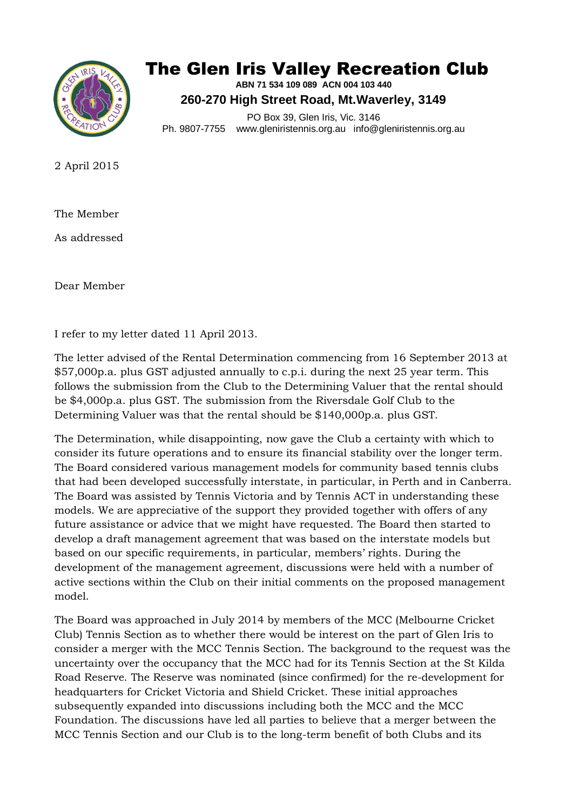

## The Glen Iris Valley Recreation Club

**ABN 71 534 109 089 ACN 004 103 440 260-270 High Street Road, Mt.Waverley, 3149**

PO Box 39, Glen Iris, Vic. 3146 Ph. 9807-7755 www.gleniristennis.org.au info@gleniristennis.org.au

2 April 2015

The Member

As addressed

Dear Member

I refer to my letter dated 11 April 2013.

The letter advised of the Rental Determination commencing from 16 September 2013 at \$57,000p.a. plus GST adjusted annually to c.p.i. during the next 25 year term. This follows the submission from the Club to the Determining Valuer that the rental should be \$4,000p.a. plus GST. The submission from the Riversdale Golf Club to the Determining Valuer was that the rental should be \$140,000p.a. plus GST.

The Determination, while disappointing, now gave the Club a certainty with which to consider its future operations and to ensure its financial stability over the longer term. The Board considered various management models for community based tennis clubs that had been developed successfully interstate, in particular, in Perth and in Canberra. The Board was assisted by Tennis Victoria and by Tennis ACT in understanding these models. We are appreciative of the support they provided together with offers of any future assistance or advice that we might have requested. The Board then started to develop a draft management agreement that was based on the interstate models but based on our specific requirements, in particular, members' rights. During the development of the management agreement, discussions were held with a number of active sections within the Club on their initial comments on the proposed management model.

The Board was approached in July 2014 by members of the MCC (Melbourne Cricket Club) Tennis Section as to whether there would be interest on the part of Glen Iris to consider a merger with the MCC Tennis Section. The background to the request was the uncertainty over the occupancy that the MCC had for its Tennis Section at the St Kilda Road Reserve. The Reserve was nominated (since confirmed) for the re-development for headquarters for Cricket Victoria and Shield Cricket. These initial approaches subsequently expanded into discussions including both the MCC and the MCC Foundation. The discussions have led all parties to believe that a merger between the MCC Tennis Section and our Club is to the long-term benefit of both Clubs and its